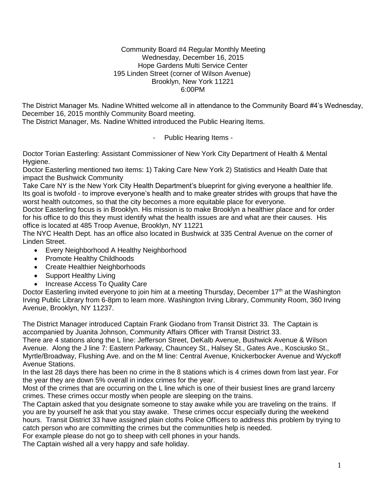## Community Board #4 Regular Monthly Meeting Wednesday, December 16, 2015 Hope Gardens Multi Service Center 195 Linden Street (corner of Wilson Avenue) Brooklyn, New York 11221 6:00PM

The District Manager Ms. Nadine Whitted welcome all in attendance to the Community Board #4's Wednesday, December 16, 2015 monthly Community Board meeting.

The District Manager, Ms. Nadine Whitted introduced the Public Hearing Items.

- Public Hearing Items -

Doctor Torian Easterling: Assistant Commissioner of New York City Department of Health & Mental Hygiene.

Doctor Easterling mentioned two items: 1) Taking Care New York 2) Statistics and Health Date that impact the Bushwick Community

Take Care NY is the New York City Health Department's blueprint for giving everyone a healthier life. Its goal is twofold - to improve everyone's health and to make greater strides with groups that have the worst health outcomes, so that the city becomes a more equitable place for everyone.

Doctor Easterling focus is in Brooklyn. His mission is to make Brooklyn a healthier place and for order for his office to do this they must identify what the health issues are and what are their causes. His office is located at 485 Troop Avenue, Brooklyn, NY 11221

The NYC Health Dept. has an office also located in Bushwick at 335 Central Avenue on the corner of Linden Street.

- Every Neighborhood A Healthy Neighborhood
- Promote Healthy Childhoods
- Create Healthier Neighborhoods
- Support Healthy Living
- Increase Access To Quality Care

Doctor Easterling invited everyone to join him at a meeting Thursday, December 17<sup>th</sup> at the Washington Irving Public Library from 6-8pm to learn more. Washington Irving Library, Community Room, 360 Irving Avenue, Brooklyn, NY 11237.

The District Manager introduced Captain Frank Giodano from Transit District 33. The Captain is accompanied by Juanita Johnson, Community Affairs Officer with Transit District 33.

There are 4 stations along the L line: Jefferson Street, DeKalb Avenue, Bushwick Avenue & Wilson Avenue. Along the J line 7: Eastern Parkway, Chauncey St., Halsey St., Gates Ave., Kosciusko St., Myrtle/Broadway, Flushing Ave. and on the M line: Central Avenue, Knickerbocker Avenue and Wyckoff Avenue Stations.

In the last 28 days there has been no crime in the 8 stations which is 4 crimes down from last year. For the year they are down 5% overall in index crimes for the year.

Most of the crimes that are occurring on the L line which is one of their busiest lines are grand larceny crimes. These crimes occur mostly when people are sleeping on the trains.

The Captain asked that you designate someone to stay awake while you are traveling on the trains. If you are by yourself he ask that you stay awake. These crimes occur especially during the weekend hours. Transit District 33 have assigned plain cloths Police Officers to address this problem by trying to catch person who are committing the crimes but the communities help is needed.

For example please do not go to sheep with cell phones in your hands.

The Captain wished all a very happy and safe holiday.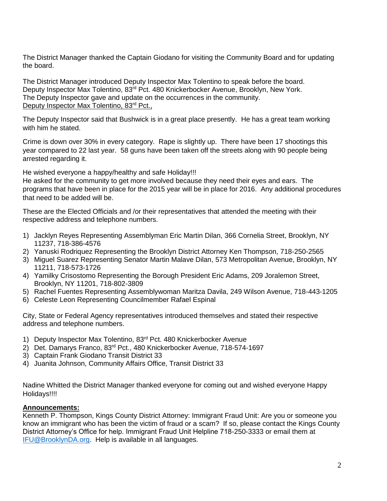The District Manager thanked the Captain Giodano for visiting the Community Board and for updating the board.

The District Manager introduced Deputy Inspector Max Tolentino to speak before the board. Deputy Inspector Max Tolentino, 83<sup>rd</sup> Pct. 480 Knickerbocker Avenue, Brooklyn, New York. The Deputy Inspector gave and update on the occurrences in the community. Deputy Inspector Max Tolentino, 83rd Pct.,

The Deputy Inspector said that Bushwick is in a great place presently. He has a great team working with him he stated.

Crime is down over 30% in every category. Rape is slightly up. There have been 17 shootings this year compared to 22 last year. 58 guns have been taken off the streets along with 90 people being arrested regarding it.

He wished everyone a happy/healthy and safe Holiday!!!

He asked for the community to get more involved because they need their eyes and ears. The programs that have been in place for the 2015 year will be in place for 2016. Any additional procedures that need to be added will be.

These are the Elected Officials and /or their representatives that attended the meeting with their respective address and telephone numbers.

- 1) Jacklyn Reyes Representing Assemblyman Eric Martin Dilan, 366 Cornelia Street, Brooklyn, NY 11237, 718-386-4576
- 2) Yanuski Rodriquez Representing the Brooklyn District Attorney Ken Thompson, 718-250-2565
- 3) Miguel Suarez Representing Senator Martin Malave Dilan, 573 Metropolitan Avenue, Brooklyn, NY 11211, 718-573-1726
- 4) Yamilky Crisostomo Representing the Borough President Eric Adams, 209 Joralemon Street, Brooklyn, NY 11201, 718-802-3809
- 5) Rachel Fuentes Representing Assemblywoman Maritza Davila, 249 Wilson Avenue, 718-443-1205
- 6) Celeste Leon Representing Councilmember Rafael Espinal

City, State or Federal Agency representatives introduced themselves and stated their respective address and telephone numbers.

- 1) Deputy Inspector Max Tolentino, 83<sup>rd</sup> Pct. 480 Knickerbocker Avenue
- 2) Det. Damarys Franco, 83rd Pct., 480 Knickerbocker Avenue, 718-574-1697
- 3) Captain Frank Giodano Transit District 33
- 4) Juanita Johnson, Community Affairs Office, Transit District 33

Nadine Whitted the District Manager thanked everyone for coming out and wished everyone Happy Holidays!!!!

## **Announcements:**

Kenneth P. Thompson, Kings County District Attorney: Immigrant Fraud Unit: Are you or someone you know an immigrant who has been the victim of fraud or a scam? If so, please contact the Kings County District Attorney's Office for help. Immigrant Fraud Unit Helpline 718-250-3333 or email them at [IFU@BrooklynDA.org.](mailto:IFU@BrooklynDA.org) Help is available in all languages.